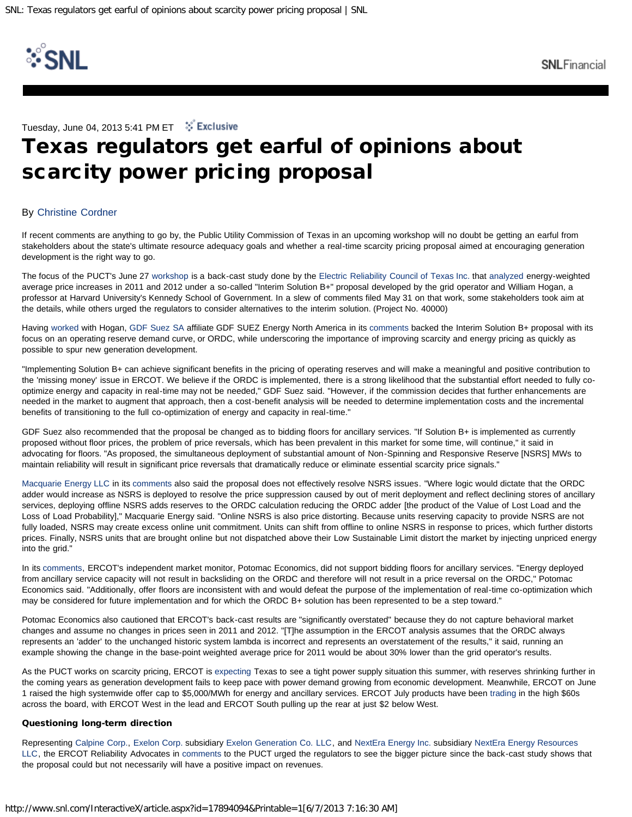

Tuesday, June 04, 2013 5:41 PM ET : Faclusive

## Texas regulators get earful of opinions about scarcity power pricing proposal

## By [Christine Cordner](http://www.snl.com/interactivex/feedback.aspx?ID=17894094&silo=NEWS&src=2)

If recent comments are anything to go by, the Public Utility Commission of Texas in an upcoming workshop will no doubt be getting an earful from stakeholders about the state's ultimate resource adequacy goals and whether a real-time scarcity pricing proposal aimed at encouraging generation development is the right way to go.

The focus of the PUCT's June 27 [workshop](http://www.snl.com/InteractiveX/article.aspx?ID=17660490) is a back-cast study done by the [Electric Reliability Council of Texas Inc.](http://www.snl.com/InteractiveX/snapshot.aspx?ID=4065908) that [analyzed](http://www.snl.com/InteractiveX/article.aspx?ID=17341393) energy-weighted average price increases in 2011 and 2012 under a so-called "Interim Solution B+" proposal developed by the grid operator and William Hogan, a professor at Harvard University's Kennedy School of Government. In a slew of comments filed May 31 on that work, some stakeholders took aim at the details, while others urged the regulators to consider alternatives to the interim solution. (Project No. 40000)

Having [worked](http://www.snl.com/InteractiveX/article.aspx?ID=16832893) with Hogan, [GDF Suez SA](http://www.snl.com/InteractiveX/snapshot.aspx?ID=4212199) affiliate GDF SUEZ Energy North America in its [comments](http://www.snl.com/InteractiveX/doc.aspx?ID=17892320) backed the Interim Solution B+ proposal with its focus on an operating reserve demand curve, or ORDC, while underscoring the importance of improving scarcity and energy pricing as quickly as possible to spur new generation development.

"Implementing Solution B+ can achieve significant benefits in the pricing of operating reserves and will make a meaningful and positive contribution to the 'missing money' issue in ERCOT. We believe if the ORDC is implemented, there is a strong likelihood that the substantial effort needed to fully cooptimize energy and capacity in real-time may not be needed," GDF Suez said. "However, if the commission decides that further enhancements are needed in the market to augment that approach, then a cost-benefit analysis will be needed to determine implementation costs and the incremental benefits of transitioning to the full co-optimization of energy and capacity in real-time."

GDF Suez also recommended that the proposal be changed as to bidding floors for ancillary services. "If Solution B+ is implemented as currently proposed without floor prices, the problem of price reversals, which has been prevalent in this market for some time, will continue," it said in advocating for floors. "As proposed, the simultaneous deployment of substantial amount of Non-Spinning and Responsive Reserve [NSRS] MWs to maintain reliability will result in significant price reversals that dramatically reduce or eliminate essential scarcity price signals."

[Macquarie Energy LLC](http://www.snl.com/InteractiveX/snapshot.aspx?ID=4233287) in its [comments](http://www.snl.com/InteractiveX/doc.aspx?ID=17892274) also said the proposal does not effectively resolve NSRS issues. "Where logic would dictate that the ORDC adder would increase as NSRS is deployed to resolve the price suppression caused by out of merit deployment and reflect declining stores of ancillary services, deploying offline NSRS adds reserves to the ORDC calculation reducing the ORDC adder [the product of the Value of Lost Load and the Loss of Load Probability]," Macquarie Energy said. "Online NSRS is also price distorting. Because units reserving capacity to provide NSRS are not fully loaded, NSRS may create excess online unit commitment. Units can shift from offline to online NSRS in response to prices, which further distorts prices. Finally, NSRS units that are brought online but not dispatched above their Low Sustainable Limit distort the market by injecting unpriced energy into the grid."

In its [comments,](http://www.snl.com/InteractiveX/doc.aspx?ID=17892343) ERCOT's independent market monitor, Potomac Economics, did not support bidding floors for ancillary services. "Energy deployed from ancillary service capacity will not result in backsliding on the ORDC and therefore will not result in a price reversal on the ORDC," Potomac Economics said. "Additionally, offer floors are inconsistent with and would defeat the purpose of the implementation of real-time co-optimization which may be considered for future implementation and for which the ORDC B+ solution has been represented to be a step toward."

Potomac Economics also cautioned that ERCOT's back-cast results are "significantly overstated" because they do not capture behavioral market changes and assume no changes in prices seen in 2011 and 2012. "[T]he assumption in the ERCOT analysis assumes that the ORDC always represents an 'adder' to the unchanged historic system lambda is incorrect and represents an overstatement of the results," it said, running an example showing the change in the base-point weighted average price for 2011 would be about 30% lower than the grid operator's results.

As the PUCT works on scarcity pricing, ERCOT is [expecting](http://www.snl.com/InteractiveX/article.aspx?ID=17601319) Texas to see a tight power supply situation this summer, with reserves shrinking further in the coming years as generation development fails to keep pace with power demand growing from economic development. Meanwhile, ERCOT on June 1 raised the high systemwide offer cap to \$5,000/MWh for energy and ancillary services. ERCOT July products have been [trading](http://www.snl.com/InteractiveX/article.aspx?ID=17886755) in the high \$60s across the board, with ERCOT West in the lead and ERCOT South pulling up the rear at just \$2 below West.

## Questioning long-term direction

Representing [Calpine Corp.](http://www.snl.com/InteractiveX/snapshot.aspx?ID=4056958), [Exelon Corp.](http://www.snl.com/InteractiveX/snapshot.aspx?ID=4057056) subsidiary [Exelon Generation Co. LLC](http://www.snl.com/InteractiveX/snapshot.aspx?ID=4072145), and [NextEra Energy Inc.](http://www.snl.com/InteractiveX/snapshot.aspx?ID=3010401) subsidiary [NextEra Energy Resources](http://www.snl.com/InteractiveX/snapshot.aspx?ID=4060103) [LLC](http://www.snl.com/InteractiveX/snapshot.aspx?ID=4060103), the ERCOT Reliability Advocates in [comments](http://www.snl.com/InteractiveX/doc.aspx?ID=17892292) to the PUCT urged the regulators to see the bigger picture since the back-cast study shows that the proposal could but not necessarily will have a positive impact on revenues.